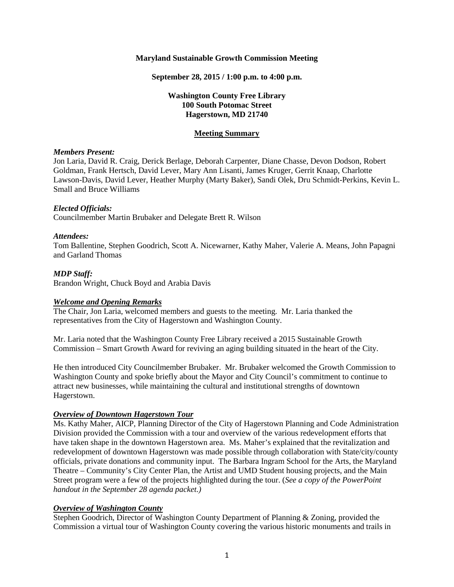#### **Maryland Sustainable Growth Commission Meeting**

**September 28, 2015 / 1:00 p.m. to 4:00 p.m.**

## **Washington County Free Library 100 South Potomac Street Hagerstown, MD 21740**

#### **Meeting Summary**

#### *Members Present:*

Jon Laria, David R. Craig, Derick Berlage, Deborah Carpenter, Diane Chasse, Devon Dodson, Robert Goldman, Frank Hertsch, David Lever, Mary Ann Lisanti, James Kruger, Gerrit Knaap, Charlotte Lawson-Davis, David Lever, Heather Murphy (Marty Baker), Sandi Olek, Dru Schmidt-Perkins, Kevin L. Small and Bruce Williams

#### *Elected Officials:*

Councilmember Martin Brubaker and Delegate Brett R. Wilson

#### *Attendees:*

Tom Ballentine, Stephen Goodrich, Scott A. Nicewarner, Kathy Maher, Valerie A. Means, John Papagni and Garland Thomas

## *MDP Staff:*

Brandon Wright, Chuck Boyd and Arabia Davis

## *Welcome and Opening Remarks*

The Chair, Jon Laria, welcomed members and guests to the meeting. Mr. Laria thanked the representatives from the City of Hagerstown and Washington County.

Mr. Laria noted that the Washington County Free Library received a 2015 Sustainable Growth Commission – Smart Growth Award for reviving an aging building situated in the heart of the City.

He then introduced City Councilmember Brubaker. Mr. Brubaker welcomed the Growth Commission to Washington County and spoke briefly about the Mayor and City Council's commitment to continue to attract new businesses, while maintaining the cultural and institutional strengths of downtown Hagerstown.

## *Overview of Downtown Hagerstown Tour*

Ms. Kathy Maher, AICP, Planning Director of the City of Hagerstown Planning and Code Administration Division provided the Commission with a tour and overview of the various redevelopment efforts that have taken shape in the downtown Hagerstown area. Ms. Maher's explained that the revitalization and redevelopment of downtown Hagerstown was made possible through collaboration with State/city/county officials, private donations and community input. The Barbara Ingram School for the Arts, the Maryland Theatre – Community's City Center Plan, the Artist and UMD Student housing projects, and the Main Street program were a few of the projects highlighted during the tour. (*See a copy of the PowerPoint handout in the September 28 agenda packet.)*

## *Overview of Washington County*

Stephen Goodrich, Director of Washington County Department of Planning & Zoning, provided the Commission a virtual tour of Washington County covering the various historic monuments and trails in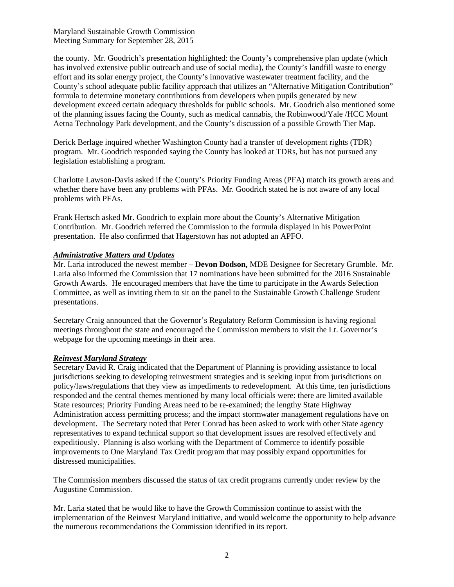Maryland Sustainable Growth Commission Meeting Summary for September 28, 2015

the county. Mr. Goodrich's presentation highlighted: the County's comprehensive plan update (which has involved extensive public outreach and use of social media), the County's landfill waste to energy effort and its solar energy project, the County's innovative wastewater treatment facility, and the County's school adequate public facility approach that utilizes an "Alternative Mitigation Contribution" formula to determine monetary contributions from developers when pupils generated by new development exceed certain adequacy thresholds for public schools. Mr. Goodrich also mentioned some of the planning issues facing the County, such as medical cannabis, the Robinwood/Yale /HCC Mount Aetna Technology Park development, and the County's discussion of a possible Growth Tier Map.

Derick Berlage inquired whether Washington County had a transfer of development rights (TDR) program. Mr. Goodrich responded saying the County has looked at TDRs, but has not pursued any legislation establishing a program.

Charlotte Lawson-Davis asked if the County's Priority Funding Areas (PFA) match its growth areas and whether there have been any problems with PFAs. Mr. Goodrich stated he is not aware of any local problems with PFAs.

Frank Hertsch asked Mr. Goodrich to explain more about the County's Alternative Mitigation Contribution. Mr. Goodrich referred the Commission to the formula displayed in his PowerPoint presentation. He also confirmed that Hagerstown has not adopted an APFO.

## *Administrative Matters and Updates*

Mr. Laria introduced the newest member – **Devon Dodson,** MDE Designee for Secretary Grumble. Mr. Laria also informed the Commission that 17 nominations have been submitted for the 2016 Sustainable Growth Awards. He encouraged members that have the time to participate in the Awards Selection Committee, as well as inviting them to sit on the panel to the Sustainable Growth Challenge Student presentations.

Secretary Craig announced that the Governor's Regulatory Reform Commission is having regional meetings throughout the state and encouraged the Commission members to visit the Lt. Governor's webpage for the upcoming meetings in their area.

## *Reinvest Maryland Strategy*

Secretary David R. Craig indicated that the Department of Planning is providing assistance to local jurisdictions seeking to developing reinvestment strategies and is seeking input from jurisdictions on policy/laws/regulations that they view as impediments to redevelopment. At this time, ten jurisdictions responded and the central themes mentioned by many local officials were: there are limited available State resources; Priority Funding Areas need to be re-examined; the lengthy State Highway Administration access permitting process; and the impact stormwater management regulations have on development. The Secretary noted that Peter Conrad has been asked to work with other State agency representatives to expand technical support so that development issues are resolved effectively and expeditiously. Planning is also working with the Department of Commerce to identify possible improvements to One Maryland Tax Credit program that may possibly expand opportunities for distressed municipalities.

The Commission members discussed the status of tax credit programs currently under review by the Augustine Commission.

Mr. Laria stated that he would like to have the Growth Commission continue to assist with the implementation of the Reinvest Maryland initiative, and would welcome the opportunity to help advance the numerous recommendations the Commission identified in its report.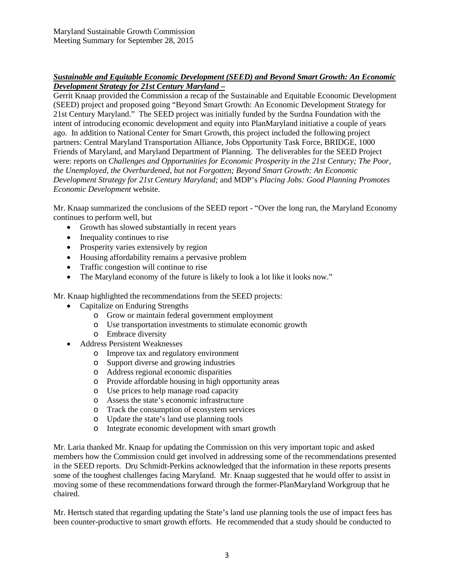# *Sustainable and Equitable Economic Development (SEED) and Beyond Smart Growth: An Economic Development Strategy for 21st Century Maryland –*

Gerrit Knaap provided the Commission a recap of the Sustainable and Equitable Economic Development (SEED) project and proposed going "Beyond Smart Growth: An Economic Development Strategy for 21st Century Maryland." The SEED project was initially funded by the Surdna Foundation with the intent of introducing economic development and equity into PlanMaryland initiative a couple of years ago. In addition to National Center for Smart Growth, this project included the following project partners: Central Maryland Transportation Alliance, Jobs Opportunity Task Force, BRIDGE, 1000 Friends of Maryland, and Maryland Department of Planning. The deliverables for the SEED Project were: reports on *Challenges and Opportunities for Economic Prosperity in the 21st Century; The Poor, the Unemployed, the Overburdened, but not Forgotten; Beyond Smart Growth: An Economic Development Strategy for 21st Century Maryland;* and MDP's *Placing Jobs: Good Planning Promotes Economic Development* website.

Mr. Knaap summarized the conclusions of the SEED report - "Over the long run, the Maryland Economy continues to perform well, but

- Growth has slowed substantially in recent years
- Inequality continues to rise
- Prosperity varies extensively by region
- Housing affordability remains a pervasive problem
- Traffic congestion will continue to rise
- The Maryland economy of the future is likely to look a lot like it looks now."

Mr. Knaap highlighted the recommendations from the SEED projects:

- Capitalize on Enduring Strengths
	- o Grow or maintain federal government employment
	- o Use transportation investments to stimulate economic growth
	- o Embrace diversity
- Address Persistent Weaknesses
	- o Improve tax and regulatory environment
	- o Support diverse and growing industries
	- o Address regional economic disparities
	- o Provide affordable housing in high opportunity areas
	- o Use prices to help manage road capacity
	- o Assess the state's economic infrastructure
	- o Track the consumption of ecosystem services
	- o Update the state's land use planning tools
	- o Integrate economic development with smart growth

Mr. Laria thanked Mr. Knaap for updating the Commission on this very important topic and asked members how the Commission could get involved in addressing some of the recommendations presented in the SEED reports. Dru Schmidt-Perkins acknowledged that the information in these reports presents some of the toughest challenges facing Maryland. Mr. Knaap suggested that he would offer to assist in moving some of these recommendations forward through the former-PlanMaryland Workgroup that he chaired.

Mr. Hertsch stated that regarding updating the State's land use planning tools the use of impact fees has been counter-productive to smart growth efforts. He recommended that a study should be conducted to